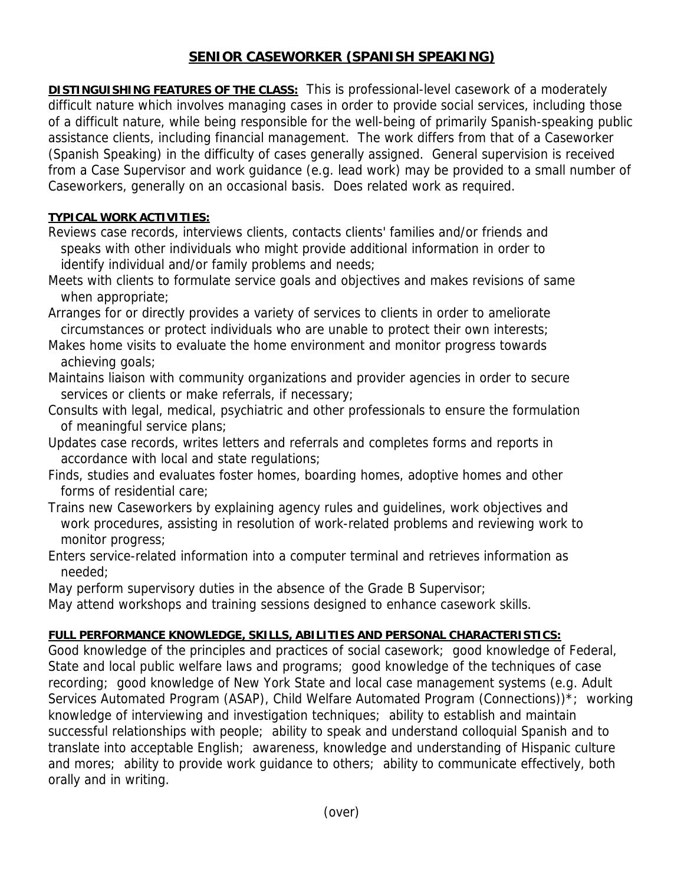# **SENIOR CASEWORKER (SPANISH SPEAKING)**

**DISTINGUISHING FEATURES OF THE CLASS:** This is professional-level casework of a moderately difficult nature which involves managing cases in order to provide social services, including those of a difficult nature, while being responsible for the well-being of primarily Spanish-speaking public assistance clients, including financial management. The work differs from that of a Caseworker (Spanish Speaking) in the difficulty of cases generally assigned. General supervision is received from a Case Supervisor and work guidance (e.g. lead work) may be provided to a small number of Caseworkers, generally on an occasional basis. Does related work as required.

### **TYPICAL WORK ACTIVITIES:**

- Reviews case records, interviews clients, contacts clients' families and/or friends and speaks with other individuals who might provide additional information in order to identify individual and/or family problems and needs;
- Meets with clients to formulate service goals and objectives and makes revisions of same when appropriate;
- Arranges for or directly provides a variety of services to clients in order to ameliorate circumstances or protect individuals who are unable to protect their own interests;
- Makes home visits to evaluate the home environment and monitor progress towards achieving goals;
- Maintains liaison with community organizations and provider agencies in order to secure services or clients or make referrals, if necessary;
- Consults with legal, medical, psychiatric and other professionals to ensure the formulation of meaningful service plans;
- Updates case records, writes letters and referrals and completes forms and reports in accordance with local and state regulations;
- Finds, studies and evaluates foster homes, boarding homes, adoptive homes and other forms of residential care;
- Trains new Caseworkers by explaining agency rules and guidelines, work objectives and work procedures, assisting in resolution of work-related problems and reviewing work to monitor progress;
- Enters service-related information into a computer terminal and retrieves information as needed;
- May perform supervisory duties in the absence of the Grade B Supervisor;
- May attend workshops and training sessions designed to enhance casework skills.

## **FULL PERFORMANCE KNOWLEDGE, SKILLS, ABILITIES AND PERSONAL CHARACTERISTICS:**

Good knowledge of the principles and practices of social casework; good knowledge of Federal, State and local public welfare laws and programs; good knowledge of the techniques of case recording; good knowledge of New York State and local case management systems (e.g. Adult Services Automated Program (ASAP), Child Welfare Automated Program (Connections))\*; working knowledge of interviewing and investigation techniques; ability to establish and maintain successful relationships with people; ability to speak and understand colloquial Spanish and to translate into acceptable English; awareness, knowledge and understanding of Hispanic culture and mores; ability to provide work guidance to others; ability to communicate effectively, both orally and in writing.